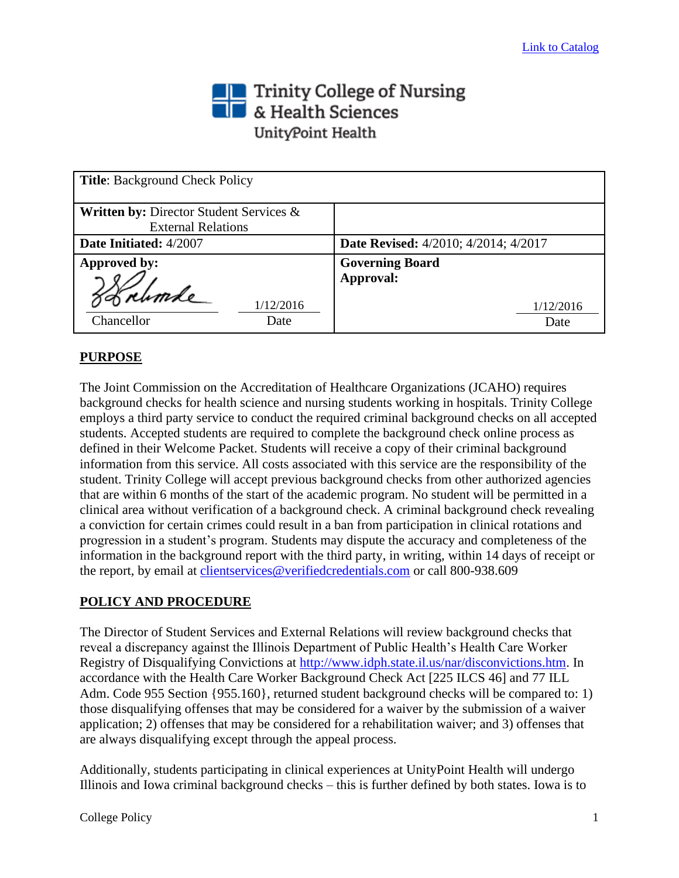## Trinity College of Nursing<br> **The State Sciences** UnityPoint Health

| <b>Title:</b> Background Check Policy                                           |                                             |
|---------------------------------------------------------------------------------|---------------------------------------------|
| <b>Written by: Director Student Services &amp;</b><br><b>External Relations</b> |                                             |
| Date Initiated: 4/2007                                                          | <b>Date Revised:</b> 4/2010; 4/2014; 4/2017 |
| <b>Approved by:</b>                                                             | <b>Governing Board</b><br>Approval:         |
| 1/12/2016<br>Chancellor<br>Date                                                 | 1/12/2016<br>Date                           |

## **PURPOSE**

The Joint Commission on the Accreditation of Healthcare Organizations (JCAHO) requires background checks for health science and nursing students working in hospitals. Trinity College employs a third party service to conduct the required criminal background checks on all accepted students. Accepted students are required to complete the background check online process as defined in their Welcome Packet. Students will receive a copy of their criminal background information from this service. All costs associated with this service are the responsibility of the student. Trinity College will accept previous background checks from other authorized agencies that are within 6 months of the start of the academic program. No student will be permitted in a clinical area without verification of a background check. A criminal background check revealing a conviction for certain crimes could result in a ban from participation in clinical rotations and progression in a student's program. Students may dispute the accuracy and completeness of the information in the background report with the third party, in writing, within 14 days of receipt or the report, by email at *clientservices@verifiedcredentials.com* or call 800-938.609

## **POLICY AND PROCEDURE**

The Director of Student Services and External Relations will review background checks that reveal a discrepancy against the Illinois Department of Public Health's Health Care Worker Registry of Disqualifying Convictions at [http://www.idph.state.il.us/nar/disconvictions.htm.](http://www.idph.state.il.us/nar/disconvictions.htm) In accordance with the Health Care Worker Background Check Act [225 ILCS 46] and 77 ILL Adm. Code 955 Section {955.160}, returned student background checks will be compared to: 1) those disqualifying offenses that may be considered for a waiver by the submission of a waiver application; 2) offenses that may be considered for a rehabilitation waiver; and 3) offenses that are always disqualifying except through the appeal process.

Additionally, students participating in clinical experiences at UnityPoint Health will undergo Illinois and Iowa criminal background checks – this is further defined by both states. Iowa is to